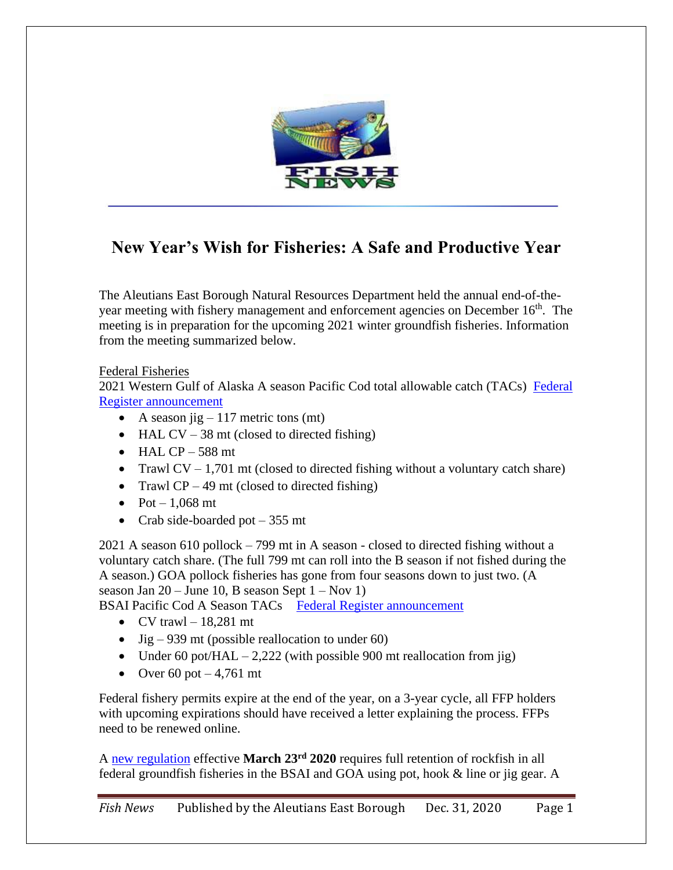

# **New Year's Wish for Fisheries: A Safe and Productive Year**

The Aleutians East Borough Natural Resources Department held the annual end-of-theyear meeting with fishery management and enforcement agencies on December 16<sup>th</sup>. The meeting is in preparation for the upcoming 2021 winter groundfish fisheries. Information from the meeting summarized below.

### Federal Fisheries

2021 Western Gulf of Alaska A season Pacific Cod total allowable catch (TACs) Federal [Register announcement](https://www.govinfo.gov/content/pkg/FR-2020-12-23/pdf/2020-28261.pdf)

- A season jig  $-117$  metric tons (mt)
- HAL CV 38 mt (closed to directed fishing)
- $\bullet$  HAL CP 588 mt
- Trawl  $CV 1,701$  mt (closed to directed fishing without a voluntary catch share)
- Trawl  $CP 49$  mt (closed to directed fishing)
- Pot  $-1.068$  mt
- Crab side-boarded pot  $-355$  mt

2021 A season 610 pollock – 799 mt in A season - closed to directed fishing without a voluntary catch share. (The full 799 mt can roll into the B season if not fished during the A season.) GOA pollock fisheries has gone from four seasons down to just two. (A season Jan  $20 -$  June 10, B season Sept  $1 -$  Nov 1)

BSAI Pacific Cod A Season TACs [Federal Register announcement](https://www.govinfo.gov/content/pkg/FR-2020-12-22/pdf/2020-28190.pdf)

- CV trawl  $-18,281$  mt
- Jig 939 mt (possible reallocation to under 60)
- Under 60 pot/HAL  $-2,222$  (with possible 900 mt reallocation from jig)
- Over 60 pot  $-4,761$  mt

Federal fishery permits expire at the end of the year, on a 3-year cycle, all FFP holders with upcoming expirations should have received a letter explaining the process. FFPs need to be renewed online.

A [new regulation](https://www.govinfo.gov/content/pkg/FR-2020-02-20/pdf/2020-02708.pdf) effective **March 23rd 2020** requires full retention of rockfish in all federal groundfish fisheries in the BSAI and GOA using pot, hook & line or jig gear. A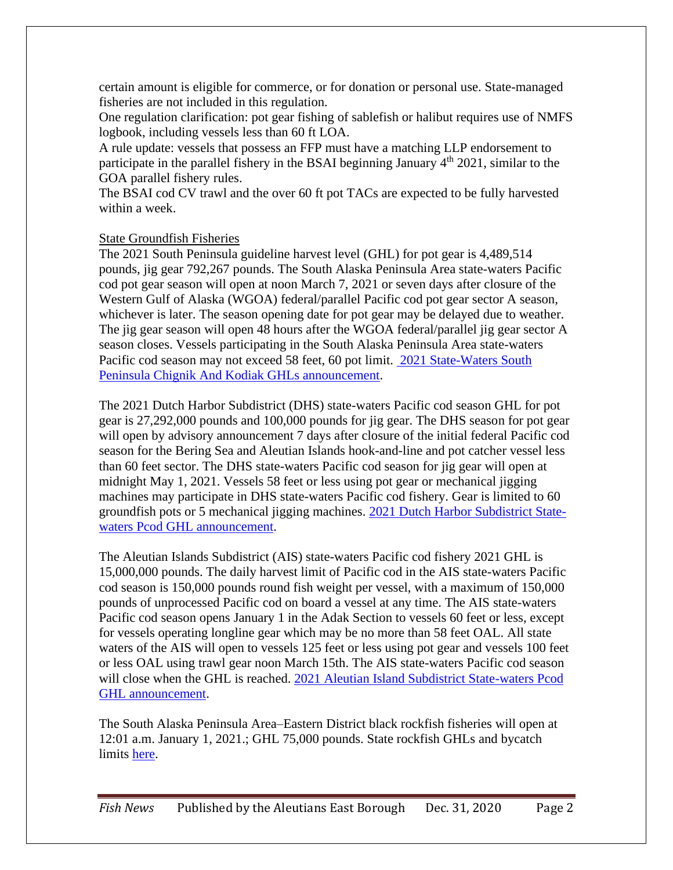certain amount is eligible for commerce, or for donation or personal use. State-managed fisheries are not included in this regulation.

One regulation clarification: pot gear fishing of sablefish or halibut requires use of NMFS logbook, including vessels less than 60 ft LOA.

A rule update: vessels that possess an FFP must have a matching LLP endorsement to participate in the parallel fishery in the BSAI beginning January  $4<sup>th</sup>$  2021, similar to the GOA parallel fishery rules.

The BSAI cod CV trawl and the over 60 ft pot TACs are expected to be fully harvested within a week.

# State Groundfish Fisheries

The 2021 South Peninsula guideline harvest level (GHL) for pot gear is 4,489,514 pounds, jig gear 792,267 pounds. The South Alaska Peninsula Area state-waters Pacific cod pot gear season will open at noon March 7, 2021 or seven days after closure of the Western Gulf of Alaska (WGOA) federal/parallel Pacific cod pot gear sector A season, whichever is later. The season opening date for pot gear may be delayed due to weather. The jig gear season will open 48 hours after the WGOA federal/parallel jig gear sector A season closes. Vessels participating in the South Alaska Peninsula Area state-waters Pacific cod season may not exceed 58 feet, 60 pot limit. [2021 State-Waters South](http://www.adfg.alaska.gov/static/applications/dcfnewsrelease/1235396473.pdf)  [Peninsula Chignik And Kodiak GHLs announcement.](http://www.adfg.alaska.gov/static/applications/dcfnewsrelease/1235396473.pdf)

The 2021 Dutch Harbor Subdistrict (DHS) state-waters Pacific cod season GHL for pot gear is 27,292,000 pounds and 100,000 pounds for jig gear. The DHS season for pot gear will open by advisory announcement 7 days after closure of the initial federal Pacific cod season for the Bering Sea and Aleutian Islands hook-and-line and pot catcher vessel less than 60 feet sector. The DHS state-waters Pacific cod season for jig gear will open at midnight May 1, 2021. Vessels 58 feet or less using pot gear or mechanical jigging machines may participate in DHS state-waters Pacific cod fishery. Gear is limited to 60 groundfish pots or 5 mechanical jigging machines. [2021 Dutch Harbor Subdistrict State](http://www.adfg.alaska.gov/static/applications/dcfnewsrelease/1235188842.pdf)[waters Pcod GHL announcement.](http://www.adfg.alaska.gov/static/applications/dcfnewsrelease/1235188842.pdf)

The Aleutian Islands Subdistrict (AIS) state-waters Pacific cod fishery 2021 GHL is 15,000,000 pounds. The daily harvest limit of Pacific cod in the AIS state-waters Pacific cod season is 150,000 pounds round fish weight per vessel, with a maximum of 150,000 pounds of unprocessed Pacific cod on board a vessel at any time. The AIS state-waters Pacific cod season opens January 1 in the Adak Section to vessels 60 feet or less, except for vessels operating longline gear which may be no more than 58 feet OAL. All state waters of the AIS will open to vessels 125 feet or less using pot gear and vessels 100 feet or less OAL using trawl gear noon March 15th. The AIS state-waters Pacific cod season will close when the GHL is reached. [2021 Aleutian Island Subdistrict State-waters Pcod](http://www.adfg.alaska.gov/static/applications/dcfnewsrelease/1235037384.pdf)  [GHL announcement.](http://www.adfg.alaska.gov/static/applications/dcfnewsrelease/1235037384.pdf)

The South Alaska Peninsula Area–Eastern District black rockfish fisheries will open at 12:01 a.m. January 1, 2021.; GHL 75,000 pounds. State rockfish GHLs and bycatch limits [here.](http://www.adfg.alaska.gov/static/applications/dcfnewsrelease/1237106983.pdf)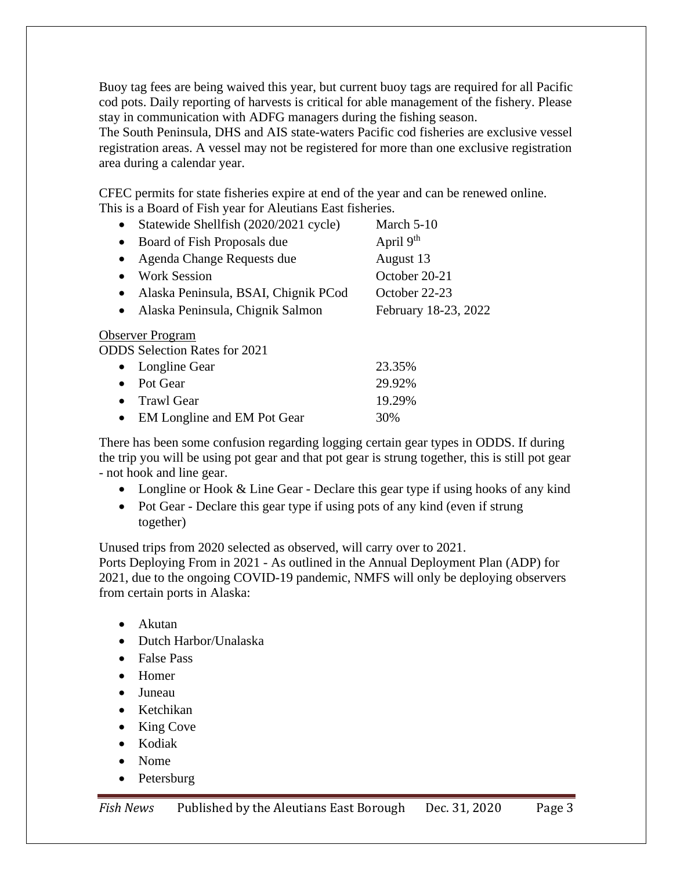Buoy tag fees are being waived this year, but current buoy tags are required for all Pacific cod pots. Daily reporting of harvests is critical for able management of the fishery. Please stay in communication with ADFG managers during the fishing season.

The South Peninsula, DHS and AIS state-waters Pacific cod fisheries are exclusive vessel registration areas. A vessel may not be registered for more than one exclusive registration area during a calendar year.

CFEC permits for state fisheries expire at end of the year and can be renewed online. This is a Board of Fish year for Aleutians East fisheries.

| Statewide Shellfish (2020/2021 cycle)             | March $5-10$         |
|---------------------------------------------------|----------------------|
| Board of Fish Proposals due<br>٠                  | April $9th$          |
| Agenda Change Requests due                        | August 13            |
| <b>Work Session</b>                               | October 20-21        |
| Alaska Peninsula, BSAI, Chignik PCod<br>$\bullet$ | October 22-23        |
| Alaska Peninsula, Chignik Salmon                  | February 18-23, 2022 |
| <b>Observer Program</b>                           |                      |
| <b>ODDS</b> Selection Rates for 2021              |                      |
| Longline Gear                                     | 23.35%               |
| Pot Gear                                          | 29.92%               |
|                                                   | .                    |

• Trawl Gear 19.29% • EM Longline and EM Pot Gear 30%

There has been some confusion regarding logging certain gear types in ODDS. If during the trip you will be using pot gear and that pot gear is strung together, this is still pot gear - not hook and line gear.

- Longline or Hook & Line Gear Declare this gear type if using hooks of any kind
- Pot Gear Declare this gear type if using pots of any kind (even if strung together)

Unused trips from 2020 selected as observed, will carry over to 2021.

Ports Deploying From in 2021 - As outlined in the Annual Deployment Plan (ADP) for 2021, due to the ongoing COVID-19 pandemic, NMFS will only be deploying observers from certain ports in Alaska:

- Akutan
- Dutch Harbor/Unalaska
- False Pass
- Homer
- Juneau
- Ketchikan
- King Cove
- Kodiak
- Nome
- **Petersburg**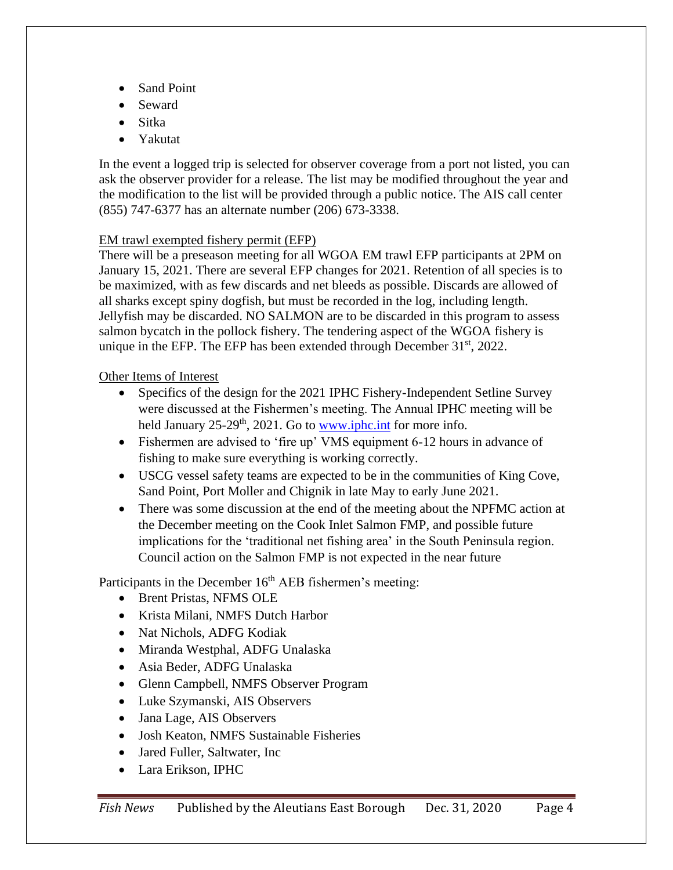- Sand Point
- Seward
- Sitka
- Yakutat

In the event a logged trip is selected for observer coverage from a port not listed, you can ask the observer provider for a release. The list may be modified throughout the year and the modification to the list will be provided through a public notice. The AIS call center (855) 747-6377 has an alternate number (206) 673-3338.

### EM trawl exempted fishery permit (EFP)

There will be a preseason meeting for all WGOA EM trawl EFP participants at 2PM on January 15, 2021. There are several EFP changes for 2021. Retention of all species is to be maximized, with as few discards and net bleeds as possible. Discards are allowed of all sharks except spiny dogfish, but must be recorded in the log, including length. Jellyfish may be discarded. NO SALMON are to be discarded in this program to assess salmon bycatch in the pollock fishery. The tendering aspect of the WGOA fishery is unique in the EFP. The EFP has been extended through December  $31<sup>st</sup>$ , 2022.

# Other Items of Interest

- Specifics of the design for the 2021 IPHC Fishery-Independent Setline Survey were discussed at the Fishermen's meeting. The Annual IPHC meeting will be held January  $25-29$ <sup>th</sup>,  $2021$ . Go to [www.iphc.int](http://www.iphc.int/) for more info.
- Fishermen are advised to 'fire up' VMS equipment 6-12 hours in advance of fishing to make sure everything is working correctly.
- USCG vessel safety teams are expected to be in the communities of King Cove, Sand Point, Port Moller and Chignik in late May to early June 2021.
- There was some discussion at the end of the meeting about the NPFMC action at the December meeting on the Cook Inlet Salmon FMP, and possible future implications for the 'traditional net fishing area' in the South Peninsula region. Council action on the Salmon FMP is not expected in the near future

Participants in the December  $16<sup>th</sup> AEB$  fishermen's meeting:

- Brent Pristas, NFMS OLE
- Krista Milani, NMFS Dutch Harbor
- Nat Nichols, ADFG Kodiak
- Miranda Westphal, ADFG Unalaska
- Asia Beder, ADFG Unalaska
- Glenn Campbell, NMFS Observer Program
- Luke Szymanski, AIS Observers
- Jana Lage, AIS Observers
- Josh Keaton, NMFS Sustainable Fisheries
- Jared Fuller, Saltwater, Inc.
- Lara Erikson, IPHC